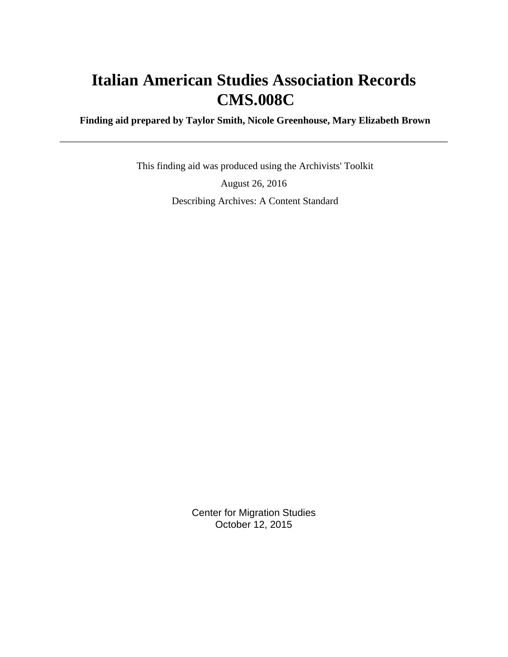# **Italian American Studies Association Records CMS.008C**

 **Finding aid prepared by Taylor Smith, Nicole Greenhouse, Mary Elizabeth Brown**

 This finding aid was produced using the Archivists' Toolkit August 26, 2016 Describing Archives: A Content Standard

> Center for Migration Studies October 12, 2015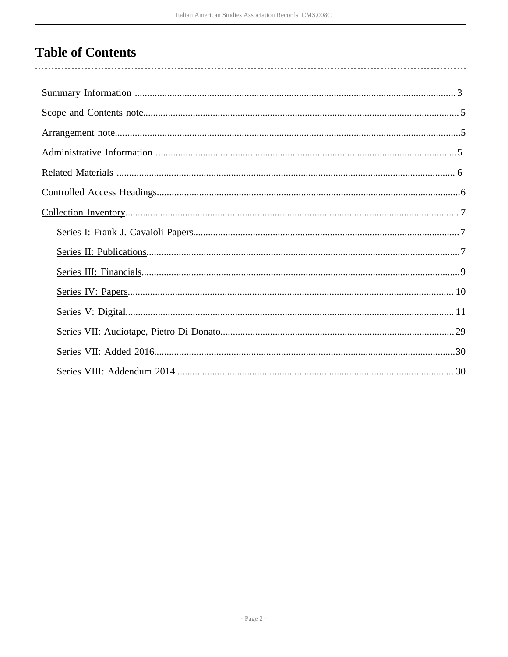# **Table of Contents**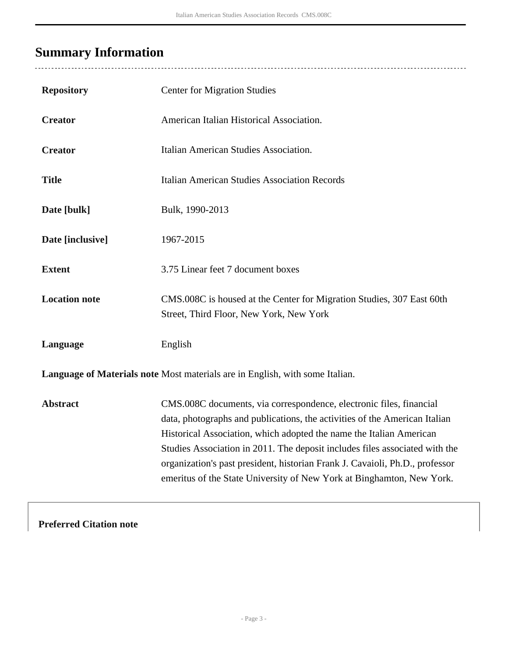# <span id="page-2-0"></span>**Summary Information**

| <b>Repository</b>    | <b>Center for Migration Studies</b>                                                                                                                                                                                                                                                                                                                                                                                                                              |
|----------------------|------------------------------------------------------------------------------------------------------------------------------------------------------------------------------------------------------------------------------------------------------------------------------------------------------------------------------------------------------------------------------------------------------------------------------------------------------------------|
| <b>Creator</b>       | American Italian Historical Association.                                                                                                                                                                                                                                                                                                                                                                                                                         |
| <b>Creator</b>       | Italian American Studies Association.                                                                                                                                                                                                                                                                                                                                                                                                                            |
| <b>Title</b>         | <b>Italian American Studies Association Records</b>                                                                                                                                                                                                                                                                                                                                                                                                              |
| Date [bulk]          | Bulk, 1990-2013                                                                                                                                                                                                                                                                                                                                                                                                                                                  |
| Date [inclusive]     | 1967-2015                                                                                                                                                                                                                                                                                                                                                                                                                                                        |
| <b>Extent</b>        | 3.75 Linear feet 7 document boxes                                                                                                                                                                                                                                                                                                                                                                                                                                |
| <b>Location note</b> | CMS.008C is housed at the Center for Migration Studies, 307 East 60th<br>Street, Third Floor, New York, New York                                                                                                                                                                                                                                                                                                                                                 |
| Language             | English                                                                                                                                                                                                                                                                                                                                                                                                                                                          |
|                      | Language of Materials note Most materials are in English, with some Italian.                                                                                                                                                                                                                                                                                                                                                                                     |
| <b>Abstract</b>      | CMS.008C documents, via correspondence, electronic files, financial<br>data, photographs and publications, the activities of the American Italian<br>Historical Association, which adopted the name the Italian American<br>Studies Association in 2011. The deposit includes files associated with the<br>organization's past president, historian Frank J. Cavaioli, Ph.D., professor<br>emeritus of the State University of New York at Binghamton, New York. |

**Preferred Citation note**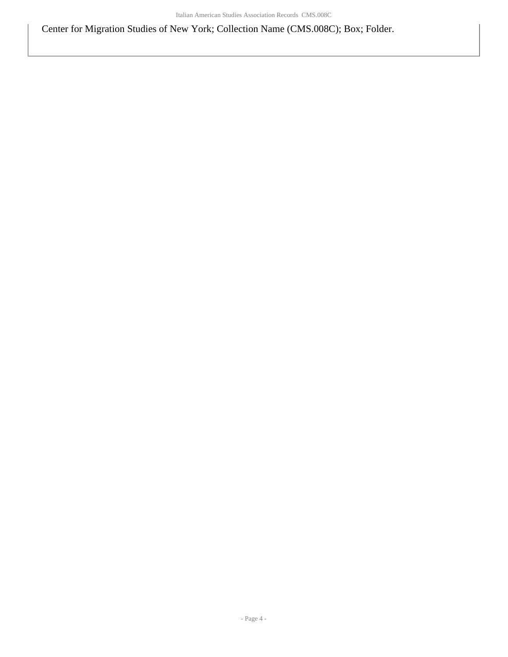Center for Migration Studies of New York; Collection Name (CMS.008C); Box; Folder.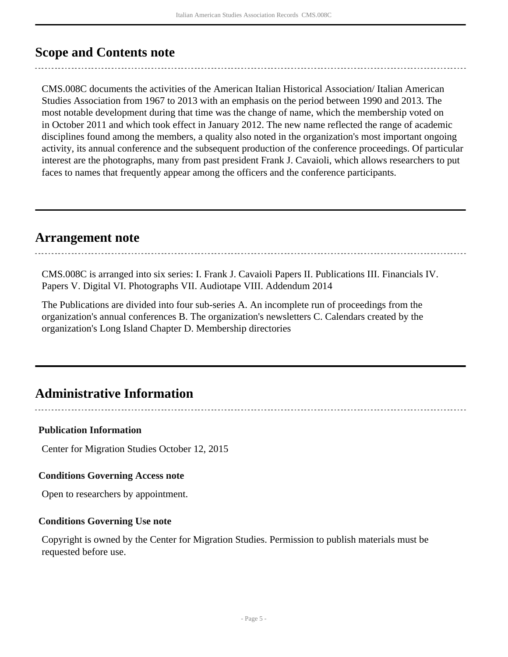## <span id="page-4-0"></span>**Scope and Contents note**

CMS.008C documents the activities of the American Italian Historical Association/ Italian American Studies Association from 1967 to 2013 with an emphasis on the period between 1990 and 2013. The most notable development during that time was the change of name, which the membership voted on in October 2011 and which took effect in January 2012. The new name reflected the range of academic disciplines found among the members, a quality also noted in the organization's most important ongoing activity, its annual conference and the subsequent production of the conference proceedings. Of particular interest are the photographs, many from past president Frank J. Cavaioli, which allows researchers to put faces to names that frequently appear among the officers and the conference participants.

## <span id="page-4-1"></span>**Arrangement note**

CMS.008C is arranged into six series: I. Frank J. Cavaioli Papers II. Publications III. Financials IV. Papers V. Digital VI. Photographs VII. Audiotape VIII. Addendum 2014

The Publications are divided into four sub-series A. An incomplete run of proceedings from the organization's annual conferences B. The organization's newsletters C. Calendars created by the organization's Long Island Chapter D. Membership directories

# <span id="page-4-2"></span>**Administrative Information**

### **Publication Information**

Center for Migration Studies October 12, 2015

### **Conditions Governing Access note**

Open to researchers by appointment.

### **Conditions Governing Use note**

Copyright is owned by the Center for Migration Studies. Permission to publish materials must be requested before use.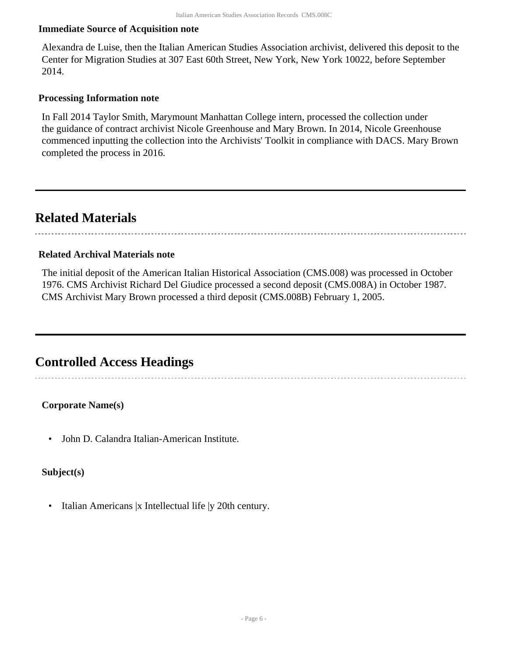#### **Immediate Source of Acquisition note**

Alexandra de Luise, then the Italian American Studies Association archivist, delivered this deposit to the Center for Migration Studies at 307 East 60th Street, New York, New York 10022, before September 2014.

#### **Processing Information note**

In Fall 2014 Taylor Smith, Marymount Manhattan College intern, processed the collection under the guidance of contract archivist Nicole Greenhouse and Mary Brown. In 2014, Nicole Greenhouse commenced inputting the collection into the Archivists' Toolkit in compliance with DACS. Mary Brown completed the process in 2016.

## <span id="page-5-0"></span>**Related Materials**

#### **Related Archival Materials note**

The initial deposit of the American Italian Historical Association (CMS.008) was processed in October 1976. CMS Archivist Richard Del Giudice processed a second deposit (CMS.008A) in October 1987. CMS Archivist Mary Brown processed a third deposit (CMS.008B) February 1, 2005.

## <span id="page-5-1"></span>**Controlled Access Headings**

#### **Corporate Name(s)**

• John D. Calandra Italian-American Institute.

### **Subject(s)**

• Italian Americans |x Intellectual life |y 20th century.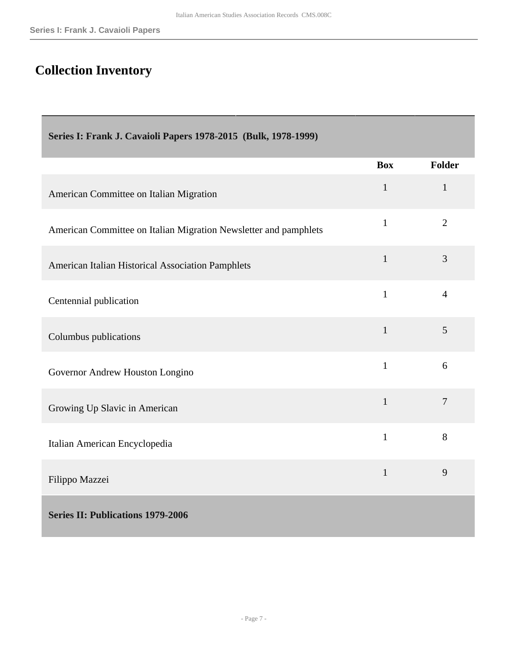# <span id="page-6-0"></span>**Collection Inventory**

<span id="page-6-2"></span><span id="page-6-1"></span>

| Series I: Frank J. Cavaioli Papers 1978-2015 (Bulk, 1978-1999)   |              |                |  |
|------------------------------------------------------------------|--------------|----------------|--|
|                                                                  | <b>Box</b>   | Folder         |  |
| American Committee on Italian Migration                          | $\mathbf{1}$ | $\mathbf{1}$   |  |
| American Committee on Italian Migration Newsletter and pamphlets | $\mathbf{1}$ | $\overline{2}$ |  |
| American Italian Historical Association Pamphlets                | $\mathbf{1}$ | 3              |  |
| Centennial publication                                           | $\mathbf{1}$ | $\overline{4}$ |  |
| Columbus publications                                            | $\mathbf{1}$ | 5              |  |
| Governor Andrew Houston Longino                                  | $\mathbf{1}$ | 6              |  |
| Growing Up Slavic in American                                    | $\mathbf{1}$ | $\tau$         |  |
| Italian American Encyclopedia                                    | $\mathbf{1}$ | 8              |  |
| Filippo Mazzei                                                   | $\mathbf{1}$ | 9              |  |
| <b>Series II: Publications 1979-2006</b>                         |              |                |  |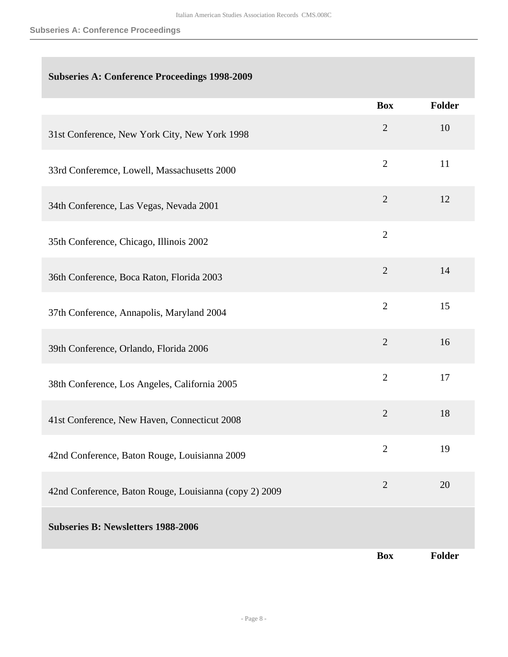### **Subseries A: Conference Proceedings 1998-2009**

|                                                        | <b>Box</b>     | <b>Folder</b> |
|--------------------------------------------------------|----------------|---------------|
| 31st Conference, New York City, New York 1998          | $\sqrt{2}$     | 10            |
| 33rd Conferemce, Lowell, Massachusetts 2000            | $\overline{2}$ | 11            |
| 34th Conference, Las Vegas, Nevada 2001                | $\overline{2}$ | 12            |
| 35th Conference, Chicago, Illinois 2002                | $\mathbf{2}$   |               |
| 36th Conference, Boca Raton, Florida 2003              | $\overline{2}$ | 14            |
| 37th Conference, Annapolis, Maryland 2004              | $\overline{2}$ | 15            |
| 39th Conference, Orlando, Florida 2006                 | $\overline{2}$ | 16            |
| 38th Conference, Los Angeles, California 2005          | $\overline{2}$ | 17            |
| 41st Conference, New Haven, Connecticut 2008           | $\overline{2}$ | 18            |
| 42nd Conference, Baton Rouge, Louisianna 2009          | $\overline{2}$ | 19            |
| 42nd Conference, Baton Rouge, Louisianna (copy 2) 2009 | $\overline{2}$ | 20            |
| <b>Subseries B: Newsletters 1988-2006</b>              |                |               |
|                                                        | <b>Box</b>     | <b>Folder</b> |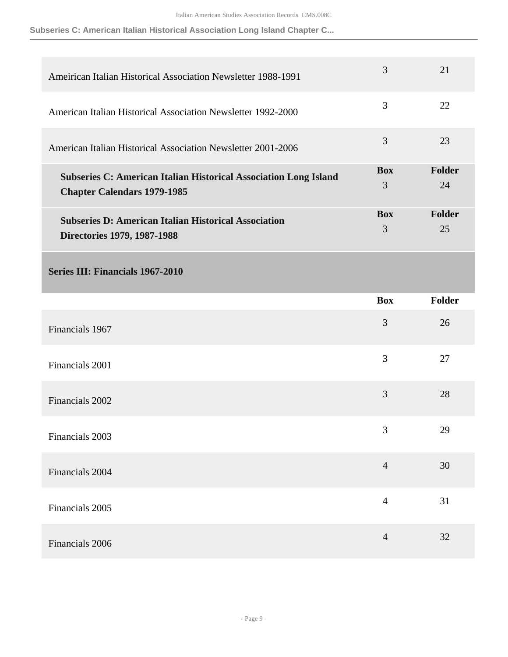**Subseries C: American Italian Historical Association Long Island Chapter C...**

<span id="page-8-0"></span>

| Ameirican Italian Historical Association Newsletter 1988-1991                                                 | $\overline{3}$  | 21           |
|---------------------------------------------------------------------------------------------------------------|-----------------|--------------|
| American Italian Historical Association Newsletter 1992-2000                                                  | 3               | 22           |
| American Italian Historical Association Newsletter 2001-2006                                                  | 3               | 23           |
| <b>Subseries C: American Italian Historical Association Long Island</b><br><b>Chapter Calendars 1979-1985</b> | <b>Box</b><br>3 | Folder<br>24 |
| <b>Subseries D: American Italian Historical Association</b><br>Directories 1979, 1987-1988                    | <b>Box</b><br>3 | Folder<br>25 |
| <b>Series III: Financials 1967-2010</b>                                                                       |                 |              |
|                                                                                                               | <b>Box</b>      | Folder       |
| Financials 1967                                                                                               | 3               | 26           |
| Financials 2001                                                                                               | 3               | 27           |
| Financials 2002                                                                                               | 3               | 28           |
| Financials 2003                                                                                               | 3               | 29           |
| Financials 2004                                                                                               | $\overline{4}$  | 30           |
| Financials 2005                                                                                               | $\overline{4}$  | 31           |
| Financials 2006                                                                                               | $\overline{4}$  | 32           |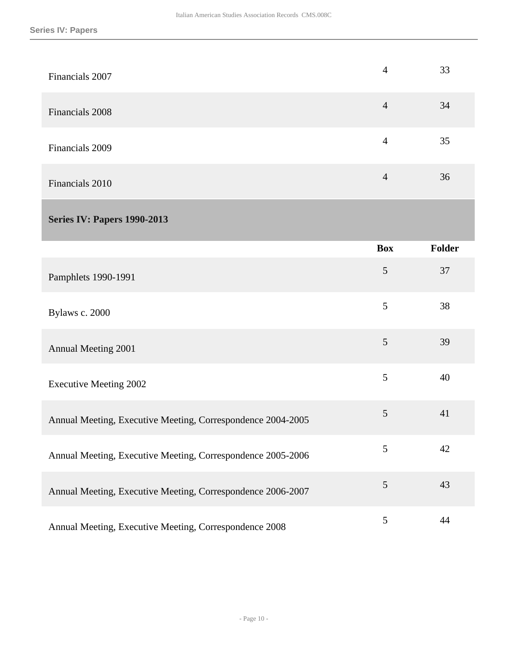<span id="page-9-0"></span>

| Financials 2007                                             | $\overline{4}$ | 33            |
|-------------------------------------------------------------|----------------|---------------|
| Financials 2008                                             | $\overline{4}$ | 34            |
| Financials 2009                                             | $\overline{4}$ | 35            |
| Financials 2010                                             | $\overline{4}$ | 36            |
| <b>Series IV: Papers 1990-2013</b>                          |                |               |
|                                                             | <b>Box</b>     | <b>Folder</b> |
| Pamphlets 1990-1991                                         | 5              | 37            |
| Bylaws c. 2000                                              | 5              | 38            |
| Annual Meeting 2001                                         | 5              | 39            |
| <b>Executive Meeting 2002</b>                               | 5              | 40            |
| Annual Meeting, Executive Meeting, Correspondence 2004-2005 | $\mathfrak{S}$ | 41            |
| Annual Meeting, Executive Meeting, Correspondence 2005-2006 | 5              | 42            |
| Annual Meeting, Executive Meeting, Correspondence 2006-2007 | 5              | 43            |
| Annual Meeting, Executive Meeting, Correspondence 2008      | 5              | 44            |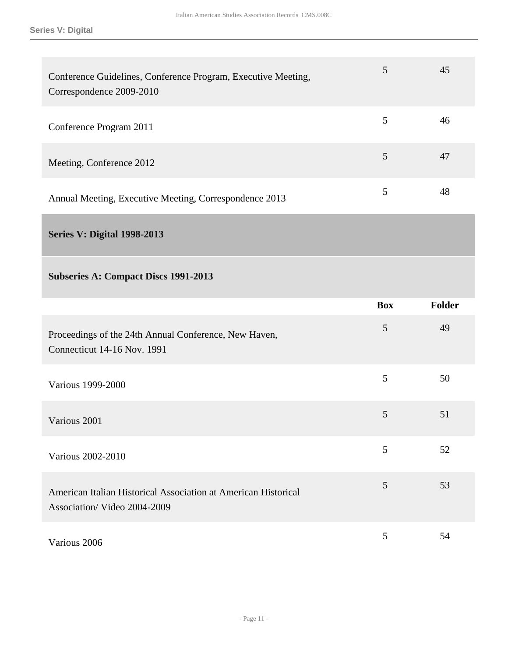| Conference Guidelines, Conference Program, Executive Meeting,<br>Correspondence 2009-2010 |   | 45 |
|-------------------------------------------------------------------------------------------|---|----|
| Conference Program 2011                                                                   |   | 46 |
| Meeting, Conference 2012                                                                  | 5 | 47 |
| Annual Meeting, Executive Meeting, Correspondence 2013                                    |   | 48 |

<span id="page-10-0"></span>**Series V: Digital 1998-2013** 

### **Subseries A: Compact Discs 1991-2013**

|                                                                                               | <b>Box</b> | Folder |
|-----------------------------------------------------------------------------------------------|------------|--------|
| Proceedings of the 24th Annual Conference, New Haven,<br>Connecticut 14-16 Nov. 1991          | 5          | 49     |
| Various 1999-2000                                                                             | 5          | 50     |
| Various 2001                                                                                  | 5          | 51     |
| Various 2002-2010                                                                             | 5          | 52     |
| American Italian Historical Association at American Historical<br>Association/Video 2004-2009 | 5          | 53     |
| Various 2006                                                                                  | 5          | 54     |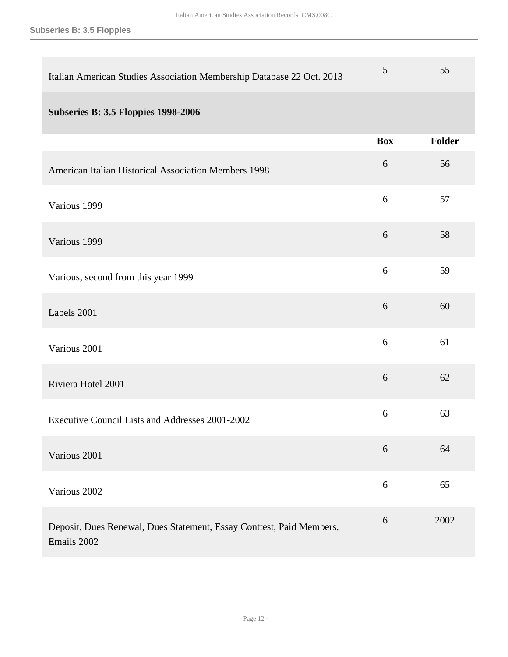**Subseries B: 3.5 Floppies**

| Italian American Studies Association Membership Database 22 Oct. 2013               | 5          | 55            |
|-------------------------------------------------------------------------------------|------------|---------------|
| <b>Subseries B: 3.5 Floppies 1998-2006</b>                                          |            |               |
|                                                                                     | <b>Box</b> | <b>Folder</b> |
| American Italian Historical Association Members 1998                                | 6          | 56            |
| Various 1999                                                                        | 6          | 57            |
| Various 1999                                                                        | 6          | 58            |
| Various, second from this year 1999                                                 | 6          | 59            |
| Labels 2001                                                                         | 6          | 60            |
| Various 2001                                                                        | 6          | 61            |
| Riviera Hotel 2001                                                                  | 6          | 62            |
| Executive Council Lists and Addresses 2001-2002                                     | 6          | 63            |
| Various 2001                                                                        | 6          | 64            |
| Various 2002                                                                        | $\sqrt{6}$ | 65            |
| Deposit, Dues Renewal, Dues Statement, Essay Conttest, Paid Members,<br>Emails 2002 | 6          | 2002          |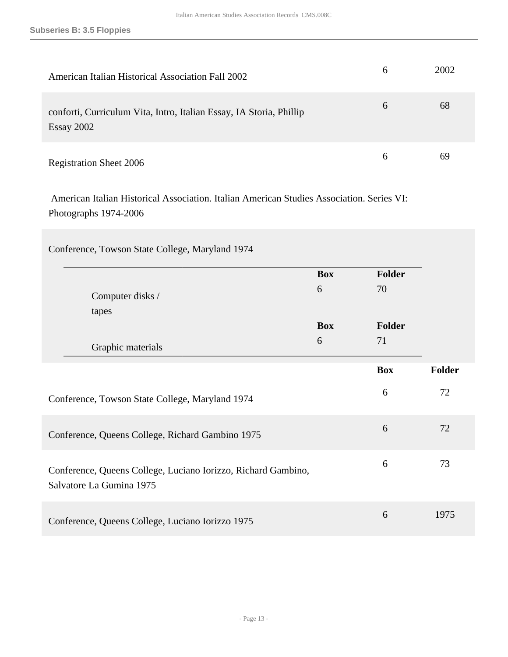| American Italian Historical Association Fall 2002                                 |               | 2002 |
|-----------------------------------------------------------------------------------|---------------|------|
| conforti, Curriculum Vita, Intro, Italian Essay, IA Storia, Phillip<br>Essay 2002 | $\mathfrak b$ | 68   |
| <b>Registration Sheet 2006</b>                                                    | h             | 69   |

 American Italian Historical Association. Italian American Studies Association. Series VI: Photographs 1974-2006

| Conference, Towson State College, Maryland 1974                                           |            |            |        |
|-------------------------------------------------------------------------------------------|------------|------------|--------|
|                                                                                           | <b>Box</b> | Folder     |        |
| Computer disks /                                                                          | 6          | 70         |        |
| tapes                                                                                     | <b>Box</b> | Folder     |        |
| Graphic materials                                                                         | 6          | 71         |        |
|                                                                                           |            | <b>Box</b> | Folder |
| Conference, Towson State College, Maryland 1974                                           |            | 6          | 72     |
| Conference, Queens College, Richard Gambino 1975                                          |            | 6          | 72     |
| Conference, Queens College, Luciano Iorizzo, Richard Gambino,<br>Salvatore La Gumina 1975 |            | 6          | 73     |
| Conference, Queens College, Luciano Iorizzo 1975                                          |            | 6          | 1975   |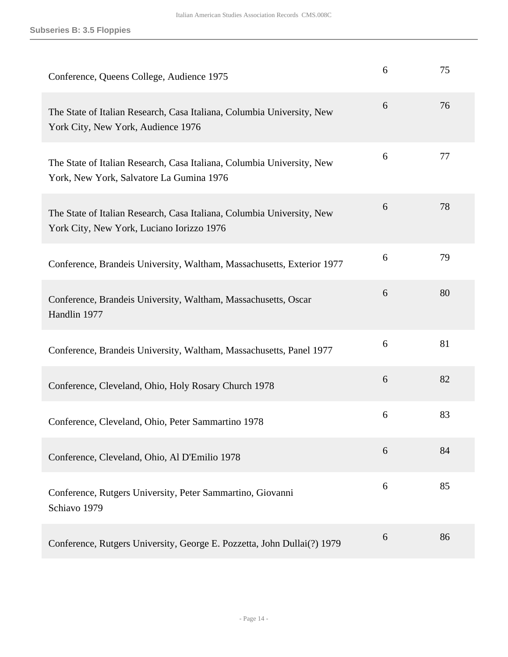| Conference, Queens College, Audience 1975                                                                           | 6 | 75 |
|---------------------------------------------------------------------------------------------------------------------|---|----|
| The State of Italian Research, Casa Italiana, Columbia University, New<br>York City, New York, Audience 1976        | 6 | 76 |
| The State of Italian Research, Casa Italiana, Columbia University, New<br>York, New York, Salvatore La Gumina 1976  | 6 | 77 |
| The State of Italian Research, Casa Italiana, Columbia University, New<br>York City, New York, Luciano Iorizzo 1976 | 6 | 78 |
| Conference, Brandeis University, Waltham, Massachusetts, Exterior 1977                                              | 6 | 79 |
| Conference, Brandeis University, Waltham, Massachusetts, Oscar<br>Handlin 1977                                      | 6 | 80 |
| Conference, Brandeis University, Waltham, Massachusetts, Panel 1977                                                 | 6 | 81 |
| Conference, Cleveland, Ohio, Holy Rosary Church 1978                                                                | 6 | 82 |
| Conference, Cleveland, Ohio, Peter Sammartino 1978                                                                  | 6 | 83 |
| Conference, Cleveland, Ohio, Al D'Emilio 1978                                                                       | 6 | 84 |
| Conference, Rutgers University, Peter Sammartino, Giovanni<br>Schiavo 1979                                          | 6 | 85 |
| Conference, Rutgers University, George E. Pozzetta, John Dullai(?) 1979                                             | 6 | 86 |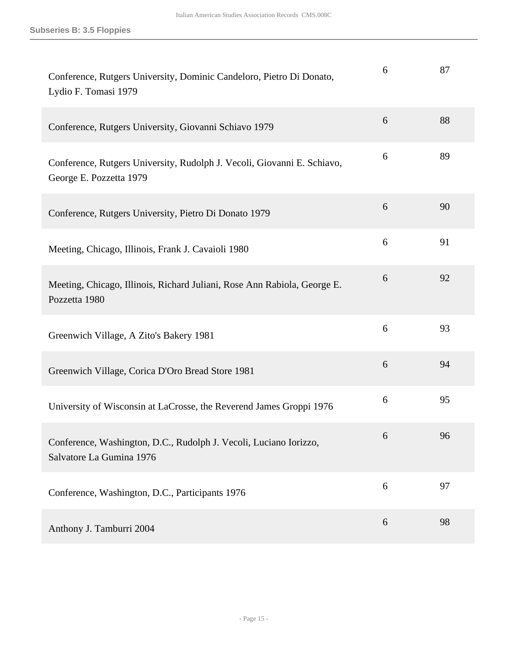| Conference, Rutgers University, Dominic Candeloro, Pietro Di Donato,<br>Lydio F. Tomasi 1979       | 6 | 87 |
|----------------------------------------------------------------------------------------------------|---|----|
| Conference, Rutgers University, Giovanni Schiavo 1979                                              | 6 | 88 |
| Conference, Rutgers University, Rudolph J. Vecoli, Giovanni E. Schiavo,<br>George E. Pozzetta 1979 | 6 | 89 |
| Conference, Rutgers University, Pietro Di Donato 1979                                              | 6 | 90 |
| Meeting, Chicago, Illinois, Frank J. Cavaioli 1980                                                 | 6 | 91 |
| Meeting, Chicago, Illinois, Richard Juliani, Rose Ann Rabiola, George E.<br>Pozzetta 1980          | 6 | 92 |
| Greenwich Village, A Zito's Bakery 1981                                                            | 6 | 93 |
| Greenwich Village, Corica D'Oro Bread Store 1981                                                   | 6 | 94 |
| University of Wisconsin at LaCrosse, the Reverend James Groppi 1976                                | 6 | 95 |
| Conference, Washington, D.C., Rudolph J. Vecoli, Luciano Iorizzo,<br>Salvatore La Gumina 1976      | 6 | 96 |
| Conference, Washington, D.C., Participants 1976                                                    | 6 | 97 |
| Anthony J. Tamburri 2004                                                                           | 6 | 98 |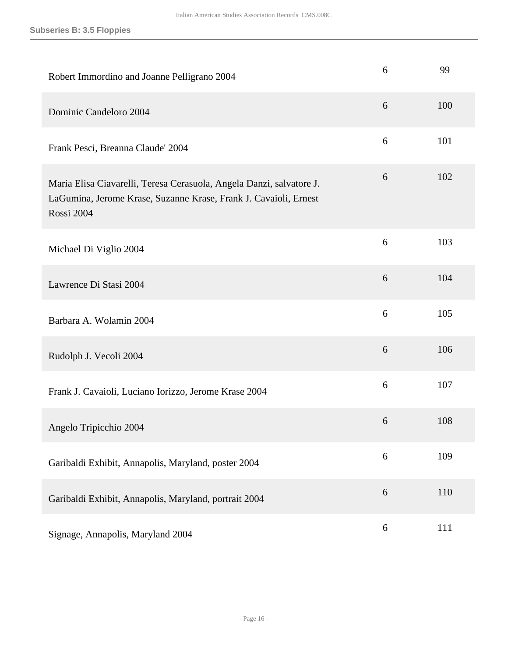| Robert Immordino and Joanne Pelligrano 2004                                                                                                            | 6 | 99  |
|--------------------------------------------------------------------------------------------------------------------------------------------------------|---|-----|
| Dominic Candeloro 2004                                                                                                                                 | 6 | 100 |
| Frank Pesci, Breanna Claude' 2004                                                                                                                      | 6 | 101 |
| Maria Elisa Ciavarelli, Teresa Cerasuola, Angela Danzi, salvatore J.<br>LaGumina, Jerome Krase, Suzanne Krase, Frank J. Cavaioli, Ernest<br>Rossi 2004 | 6 | 102 |
| Michael Di Viglio 2004                                                                                                                                 | 6 | 103 |
| Lawrence Di Stasi 2004                                                                                                                                 | 6 | 104 |
| Barbara A. Wolamin 2004                                                                                                                                | 6 | 105 |
| Rudolph J. Vecoli 2004                                                                                                                                 | 6 | 106 |
| Frank J. Cavaioli, Luciano Iorizzo, Jerome Krase 2004                                                                                                  | 6 | 107 |
| Angelo Tripicchio 2004                                                                                                                                 | 6 | 108 |
| Garibaldi Exhibit, Annapolis, Maryland, poster 2004                                                                                                    | 6 | 109 |
| Garibaldi Exhibit, Annapolis, Maryland, portrait 2004                                                                                                  | 6 | 110 |
| Signage, Annapolis, Maryland 2004                                                                                                                      | 6 | 111 |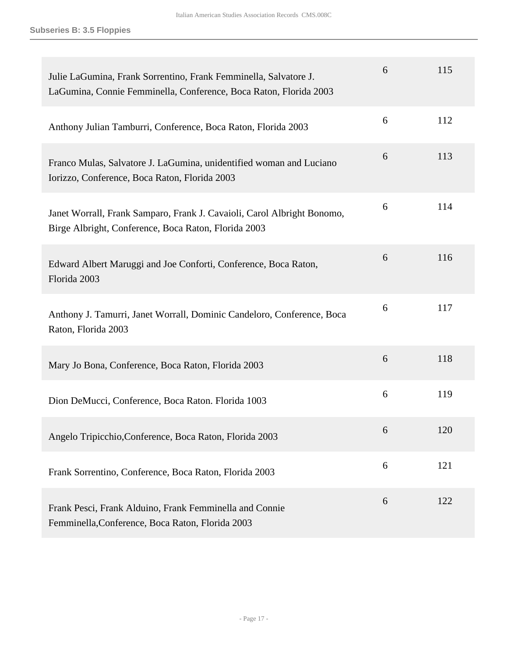| Julie LaGumina, Frank Sorrentino, Frank Femminella, Salvatore J.<br>LaGumina, Connie Femminella, Conference, Boca Raton, Florida 2003 | 6 | 115 |
|---------------------------------------------------------------------------------------------------------------------------------------|---|-----|
| Anthony Julian Tamburri, Conference, Boca Raton, Florida 2003                                                                         | 6 | 112 |
| Franco Mulas, Salvatore J. LaGumina, unidentified woman and Luciano<br>Iorizzo, Conference, Boca Raton, Florida 2003                  | 6 | 113 |
| Janet Worrall, Frank Samparo, Frank J. Cavaioli, Carol Albright Bonomo,<br>Birge Albright, Conference, Boca Raton, Florida 2003       | 6 | 114 |
| Edward Albert Maruggi and Joe Conforti, Conference, Boca Raton,<br>Florida 2003                                                       | 6 | 116 |
| Anthony J. Tamurri, Janet Worrall, Dominic Candeloro, Conference, Boca<br>Raton, Florida 2003                                         | 6 | 117 |
| Mary Jo Bona, Conference, Boca Raton, Florida 2003                                                                                    | 6 | 118 |
| Dion DeMucci, Conference, Boca Raton. Florida 1003                                                                                    | 6 | 119 |
| Angelo Tripicchio, Conference, Boca Raton, Florida 2003                                                                               | 6 | 120 |
| Frank Sorrentino, Conference, Boca Raton, Florida 2003                                                                                | 6 | 121 |
| Frank Pesci, Frank Alduino, Frank Femminella and Connie<br>Femminella, Conference, Boca Raton, Florida 2003                           | 6 | 122 |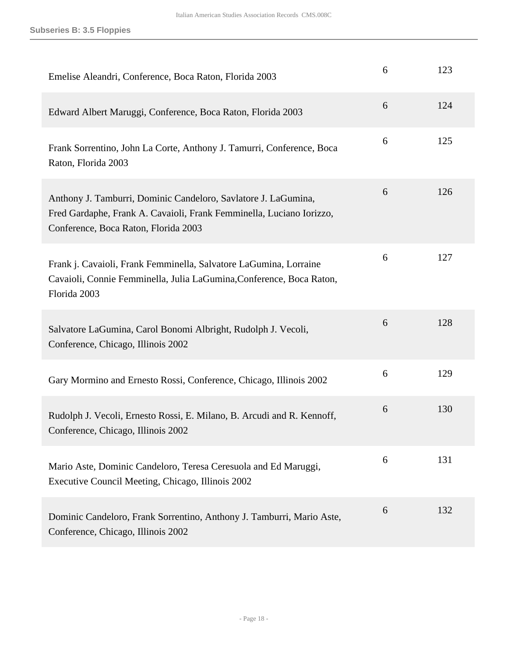| Emelise Aleandri, Conference, Boca Raton, Florida 2003                                                                                                                         | 6 | 123 |
|--------------------------------------------------------------------------------------------------------------------------------------------------------------------------------|---|-----|
| Edward Albert Maruggi, Conference, Boca Raton, Florida 2003                                                                                                                    | 6 | 124 |
| Frank Sorrentino, John La Corte, Anthony J. Tamurri, Conference, Boca<br>Raton, Florida 2003                                                                                   | 6 | 125 |
| Anthony J. Tamburri, Dominic Candeloro, Savlatore J. LaGumina,<br>Fred Gardaphe, Frank A. Cavaioli, Frank Femminella, Luciano Iorizzo,<br>Conference, Boca Raton, Florida 2003 | 6 | 126 |
| Frank j. Cavaioli, Frank Femminella, Salvatore LaGumina, Lorraine<br>Cavaioli, Connie Femminella, Julia LaGumina, Conference, Boca Raton,<br>Florida 2003                      | 6 | 127 |
| Salvatore LaGumina, Carol Bonomi Albright, Rudolph J. Vecoli,<br>Conference, Chicago, Illinois 2002                                                                            | 6 | 128 |
| Gary Mormino and Ernesto Rossi, Conference, Chicago, Illinois 2002                                                                                                             | 6 | 129 |
| Rudolph J. Vecoli, Ernesto Rossi, E. Milano, B. Arcudi and R. Kennoff,<br>Conference, Chicago, Illinois 2002                                                                   | 6 | 130 |
| Mario Aste, Dominic Candeloro, Teresa Ceresuola and Ed Maruggi,<br>Executive Council Meeting, Chicago, Illinois 2002                                                           | 6 | 131 |
| Dominic Candeloro, Frank Sorrentino, Anthony J. Tamburri, Mario Aste,<br>Conference, Chicago, Illinois 2002                                                                    | 6 | 132 |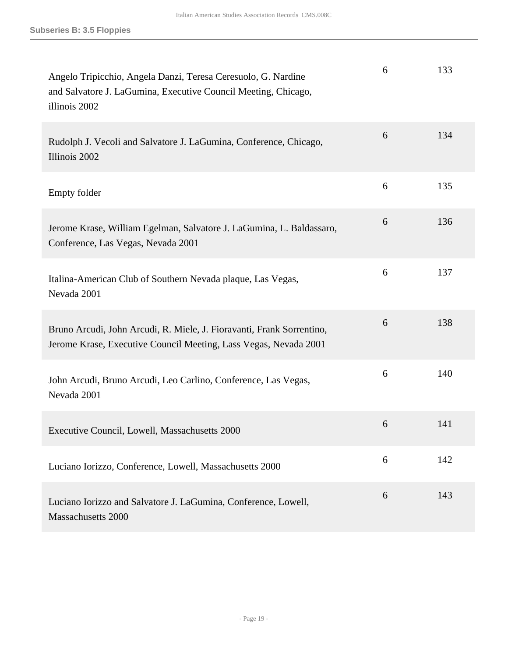| Angelo Tripicchio, Angela Danzi, Teresa Ceresuolo, G. Nardine<br>and Salvatore J. LaGumina, Executive Council Meeting, Chicago,<br>illinois 2002 | 6 | 133 |
|--------------------------------------------------------------------------------------------------------------------------------------------------|---|-----|
| Rudolph J. Vecoli and Salvatore J. LaGumina, Conference, Chicago,<br>Illinois 2002                                                               | 6 | 134 |
| <b>Empty folder</b>                                                                                                                              | 6 | 135 |
| Jerome Krase, William Egelman, Salvatore J. LaGumina, L. Baldassaro,<br>Conference, Las Vegas, Nevada 2001                                       | 6 | 136 |
| Italina-American Club of Southern Nevada plaque, Las Vegas,<br>Nevada 2001                                                                       | 6 | 137 |
| Bruno Arcudi, John Arcudi, R. Miele, J. Fioravanti, Frank Sorrentino,<br>Jerome Krase, Executive Council Meeting, Lass Vegas, Nevada 2001        | 6 | 138 |
| John Arcudi, Bruno Arcudi, Leo Carlino, Conference, Las Vegas,<br>Nevada 2001                                                                    | 6 | 140 |
| Executive Council, Lowell, Massachusetts 2000                                                                                                    | 6 | 141 |
| Luciano Iorizzo, Conference, Lowell, Massachusetts 2000                                                                                          | 6 | 142 |
| Luciano Iorizzo and Salvatore J. LaGumina, Conference, Lowell,<br><b>Massachusetts 2000</b>                                                      | 6 | 143 |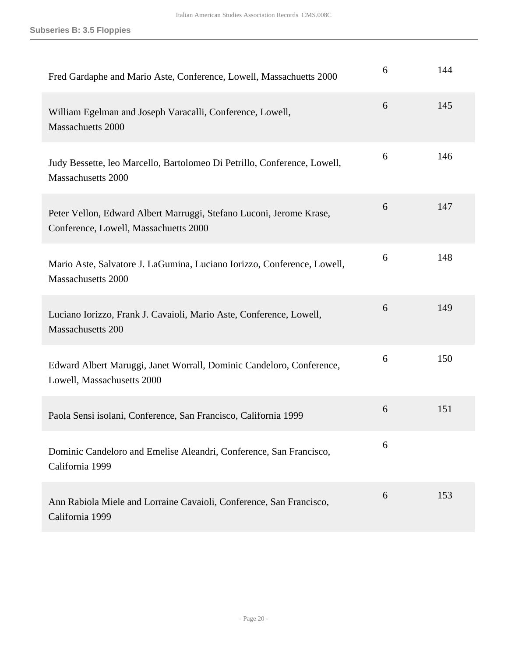| Fred Gardaphe and Mario Aste, Conference, Lowell, Massachuetts 2000                                          | 6 | 144 |
|--------------------------------------------------------------------------------------------------------------|---|-----|
| William Egelman and Joseph Varacalli, Conference, Lowell,<br><b>Massachuetts 2000</b>                        | 6 | 145 |
| Judy Bessette, leo Marcello, Bartolomeo Di Petrillo, Conference, Lowell,<br>Massachusetts 2000               | 6 | 146 |
| Peter Vellon, Edward Albert Marruggi, Stefano Luconi, Jerome Krase,<br>Conference, Lowell, Massachuetts 2000 | 6 | 147 |
| Mario Aste, Salvatore J. LaGumina, Luciano Iorizzo, Conference, Lowell,<br>Massachusetts 2000                | 6 | 148 |
| Luciano Iorizzo, Frank J. Cavaioli, Mario Aste, Conference, Lowell,<br>Massachusetts 200                     | 6 | 149 |
| Edward Albert Maruggi, Janet Worrall, Dominic Candeloro, Conference,<br>Lowell, Massachusetts 2000           | 6 | 150 |
| Paola Sensi isolani, Conference, San Francisco, California 1999                                              | 6 | 151 |
| Dominic Candeloro and Emelise Aleandri, Conference, San Francisco,<br>California 1999                        | 6 |     |
| Ann Rabiola Miele and Lorraine Cavaioli, Conference, San Francisco,<br>California 1999                       | 6 | 153 |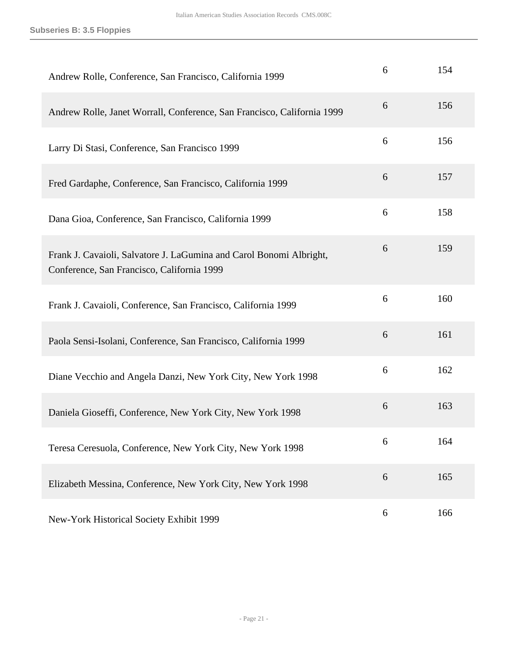| Andrew Rolle, Conference, San Francisco, California 1999                                                          | 6 | 154 |
|-------------------------------------------------------------------------------------------------------------------|---|-----|
| Andrew Rolle, Janet Worrall, Conference, San Francisco, California 1999                                           | 6 | 156 |
| Larry Di Stasi, Conference, San Francisco 1999                                                                    | 6 | 156 |
| Fred Gardaphe, Conference, San Francisco, California 1999                                                         | 6 | 157 |
| Dana Gioa, Conference, San Francisco, California 1999                                                             | 6 | 158 |
| Frank J. Cavaioli, Salvatore J. LaGumina and Carol Bonomi Albright,<br>Conference, San Francisco, California 1999 | 6 | 159 |
| Frank J. Cavaioli, Conference, San Francisco, California 1999                                                     | 6 | 160 |
| Paola Sensi-Isolani, Conference, San Francisco, California 1999                                                   | 6 | 161 |
| Diane Vecchio and Angela Danzi, New York City, New York 1998                                                      | 6 | 162 |
| Daniela Gioseffi, Conference, New York City, New York 1998                                                        | 6 | 163 |
| Teresa Ceresuola, Conference, New York City, New York 1998                                                        | 6 | 164 |
| Elizabeth Messina, Conference, New York City, New York 1998                                                       | 6 | 165 |
| New-York Historical Society Exhibit 1999                                                                          | 6 | 166 |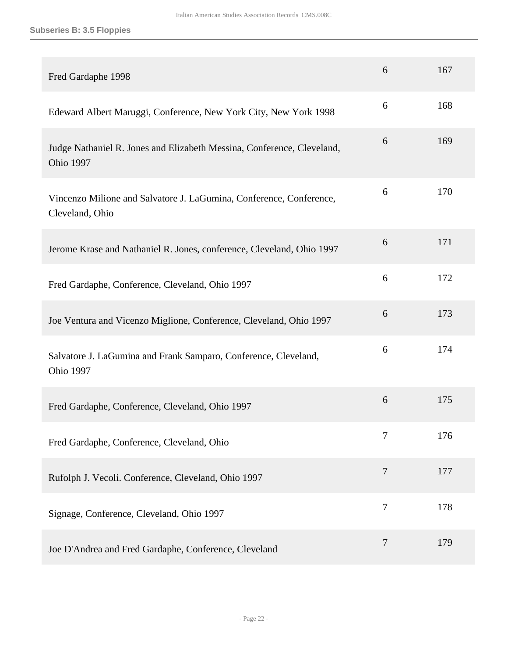| Fred Gardaphe 1998                                                                         | 6              | 167 |
|--------------------------------------------------------------------------------------------|----------------|-----|
| Edeward Albert Maruggi, Conference, New York City, New York 1998                           | 6              | 168 |
| Judge Nathaniel R. Jones and Elizabeth Messina, Conference, Cleveland,<br><b>Ohio 1997</b> | 6              | 169 |
| Vincenzo Milione and Salvatore J. LaGumina, Conference, Conference,<br>Cleveland, Ohio     | 6              | 170 |
| Jerome Krase and Nathaniel R. Jones, conference, Cleveland, Ohio 1997                      | 6              | 171 |
| Fred Gardaphe, Conference, Cleveland, Ohio 1997                                            | 6              | 172 |
| Joe Ventura and Vicenzo Miglione, Conference, Cleveland, Ohio 1997                         | 6              | 173 |
| Salvatore J. LaGumina and Frank Samparo, Conference, Cleveland,<br><b>Ohio 1997</b>        | 6              | 174 |
| Fred Gardaphe, Conference, Cleveland, Ohio 1997                                            | 6              | 175 |
| Fred Gardaphe, Conference, Cleveland, Ohio                                                 | 7              | 176 |
| Rufolph J. Vecoli. Conference, Cleveland, Ohio 1997                                        | $\overline{7}$ | 177 |
| Signage, Conference, Cleveland, Ohio 1997                                                  | 7              | 178 |
| Joe D'Andrea and Fred Gardaphe, Conference, Cleveland                                      | 7              | 179 |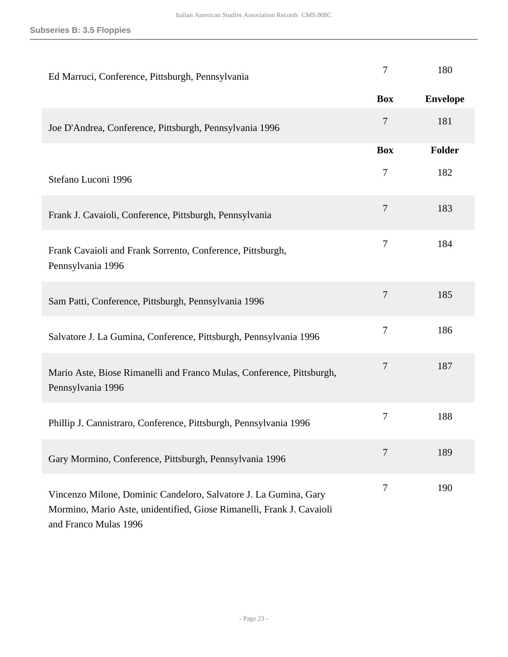| Ed Marruci, Conference, Pittsburgh, Pennsylvania                                                                                                                   | 7                | 180             |
|--------------------------------------------------------------------------------------------------------------------------------------------------------------------|------------------|-----------------|
|                                                                                                                                                                    | <b>Box</b>       | <b>Envelope</b> |
| Joe D'Andrea, Conference, Pittsburgh, Pennsylvania 1996                                                                                                            | $\tau$           | 181             |
|                                                                                                                                                                    | <b>Box</b>       | Folder          |
| Stefano Luconi 1996                                                                                                                                                | $\tau$           | 182             |
| Frank J. Cavaioli, Conference, Pittsburgh, Pennsylvania                                                                                                            | $\tau$           | 183             |
| Frank Cavaioli and Frank Sorrento, Conference, Pittsburgh,<br>Pennsylvania 1996                                                                                    | $\boldsymbol{7}$ | 184             |
| Sam Patti, Conference, Pittsburgh, Pennsylvania 1996                                                                                                               | 7                | 185             |
| Salvatore J. La Gumina, Conference, Pittsburgh, Pennsylvania 1996                                                                                                  | 7                | 186             |
| Mario Aste, Biose Rimanelli and Franco Mulas, Conference, Pittsburgh,<br>Pennsylvania 1996                                                                         | 7                | 187             |
| Phillip J. Cannistraro, Conference, Pittsburgh, Pennsylvania 1996                                                                                                  | 7                | 188             |
| Gary Mormino, Conference, Pittsburgh, Pennsylvania 1996                                                                                                            | 7                | 189             |
| Vincenzo Milone, Dominic Candeloro, Salvatore J. La Gumina, Gary<br>Mormino, Mario Aste, unidentified, Giose Rimanelli, Frank J. Cavaioli<br>and Franco Mulas 1996 | 7                | 190             |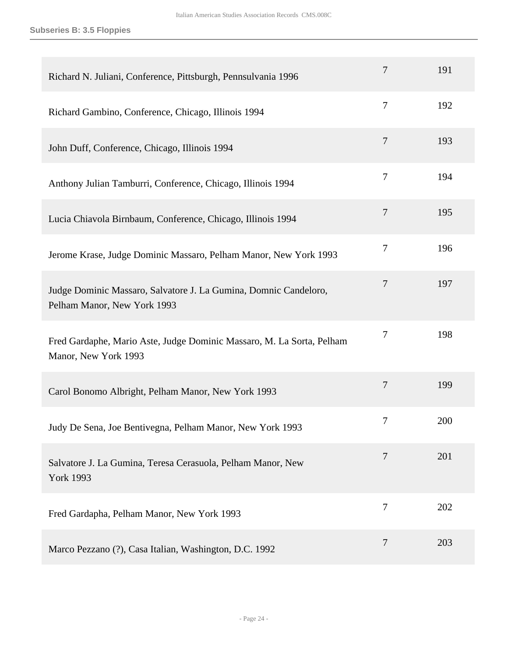| Richard N. Juliani, Conference, Pittsburgh, Pennsulvania 1996                                   | 7              | 191 |
|-------------------------------------------------------------------------------------------------|----------------|-----|
| Richard Gambino, Conference, Chicago, Illinois 1994                                             | $\overline{7}$ | 192 |
| John Duff, Conference, Chicago, Illinois 1994                                                   | $\overline{7}$ | 193 |
| Anthony Julian Tamburri, Conference, Chicago, Illinois 1994                                     | $\tau$         | 194 |
| Lucia Chiavola Birnbaum, Conference, Chicago, Illinois 1994                                     | $\overline{7}$ | 195 |
| Jerome Krase, Judge Dominic Massaro, Pelham Manor, New York 1993                                | $\tau$         | 196 |
| Judge Dominic Massaro, Salvatore J. La Gumina, Domnic Candeloro,<br>Pelham Manor, New York 1993 | $\overline{7}$ | 197 |
| Fred Gardaphe, Mario Aste, Judge Dominic Massaro, M. La Sorta, Pelham<br>Manor, New York 1993   | 7              | 198 |
| Carol Bonomo Albright, Pelham Manor, New York 1993                                              | $\overline{7}$ | 199 |
| Judy De Sena, Joe Bentivegna, Pelham Manor, New York 1993                                       | $\tau$         | 200 |
| Salvatore J. La Gumina, Teresa Cerasuola, Pelham Manor, New<br><b>York 1993</b>                 | 7              | 201 |
| Fred Gardapha, Pelham Manor, New York 1993                                                      | $\overline{7}$ | 202 |
| Marco Pezzano (?), Casa Italian, Washington, D.C. 1992                                          | $\overline{7}$ | 203 |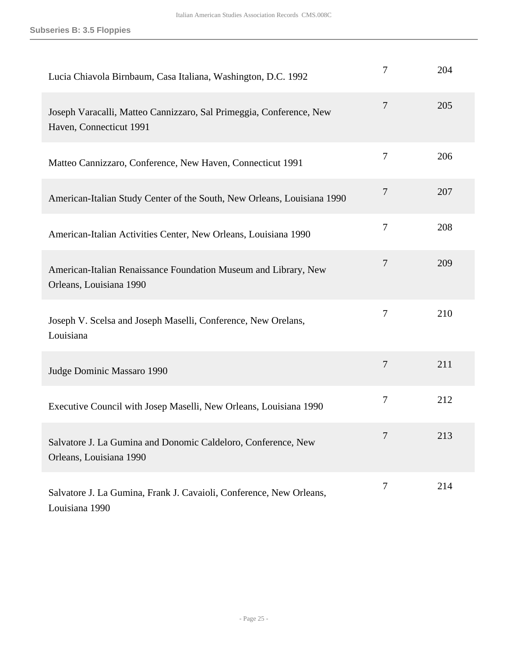| Lucia Chiavola Birnbaum, Casa Italiana, Washington, D.C. 1992                                  | 7              | 204 |
|------------------------------------------------------------------------------------------------|----------------|-----|
| Joseph Varacalli, Matteo Cannizzaro, Sal Primeggia, Conference, New<br>Haven, Connecticut 1991 | $\overline{7}$ | 205 |
| Matteo Cannizzaro, Conference, New Haven, Connecticut 1991                                     | 7              | 206 |
| American-Italian Study Center of the South, New Orleans, Louisiana 1990                        | 7              | 207 |
| American-Italian Activities Center, New Orleans, Louisiana 1990                                | 7              | 208 |
| American-Italian Renaissance Foundation Museum and Library, New<br>Orleans, Louisiana 1990     | $\overline{7}$ | 209 |
| Joseph V. Scelsa and Joseph Maselli, Conference, New Orelans,<br>Louisiana                     | $\overline{7}$ | 210 |
| Judge Dominic Massaro 1990                                                                     | $\overline{7}$ | 211 |
| Executive Council with Josep Maselli, New Orleans, Louisiana 1990                              | 7              | 212 |
| Salvatore J. La Gumina and Donomic Caldeloro, Conference, New<br>Orleans, Louisiana 1990       |                | 213 |
| Salvatore J. La Gumina, Frank J. Cavaioli, Conference, New Orleans,<br>Louisiana 1990          | 7              | 214 |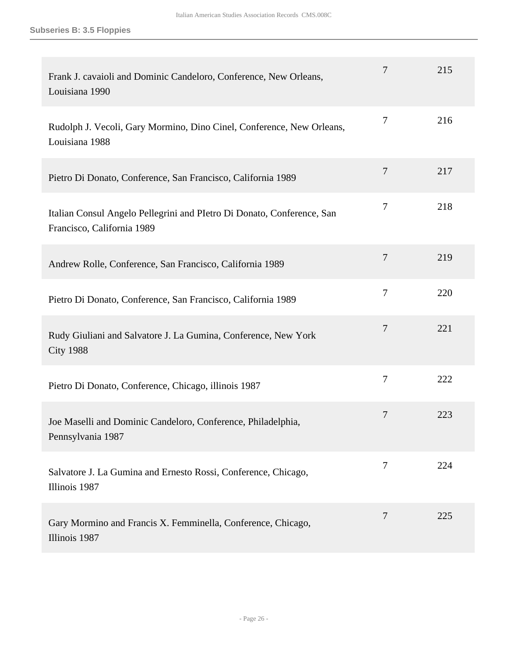| Frank J. cavaioli and Dominic Candeloro, Conference, New Orleans,<br>Louisiana 1990                  | 7              | 215 |
|------------------------------------------------------------------------------------------------------|----------------|-----|
| Rudolph J. Vecoli, Gary Mormino, Dino Cinel, Conference, New Orleans,<br>Louisiana 1988              | 7              | 216 |
| Pietro Di Donato, Conference, San Francisco, California 1989                                         | $\overline{7}$ | 217 |
| Italian Consul Angelo Pellegrini and Pletro Di Donato, Conference, San<br>Francisco, California 1989 | 7              | 218 |
| Andrew Rolle, Conference, San Francisco, California 1989                                             | $\overline{7}$ | 219 |
| Pietro Di Donato, Conference, San Francisco, California 1989                                         | $\overline{7}$ | 220 |
| Rudy Giuliani and Salvatore J. La Gumina, Conference, New York<br><b>City 1988</b>                   | 7              | 221 |
| Pietro Di Donato, Conference, Chicago, illinois 1987                                                 | $\overline{7}$ | 222 |
| Joe Maselli and Dominic Candeloro, Conference, Philadelphia,<br>Pennsylvania 1987                    | 7              | 223 |
| Salvatore J. La Gumina and Ernesto Rossi, Conference, Chicago,<br>Illinois 1987                      | 7              | 224 |
| Gary Mormino and Francis X. Femminella, Conference, Chicago,<br>Illinois 1987                        | $\overline{7}$ | 225 |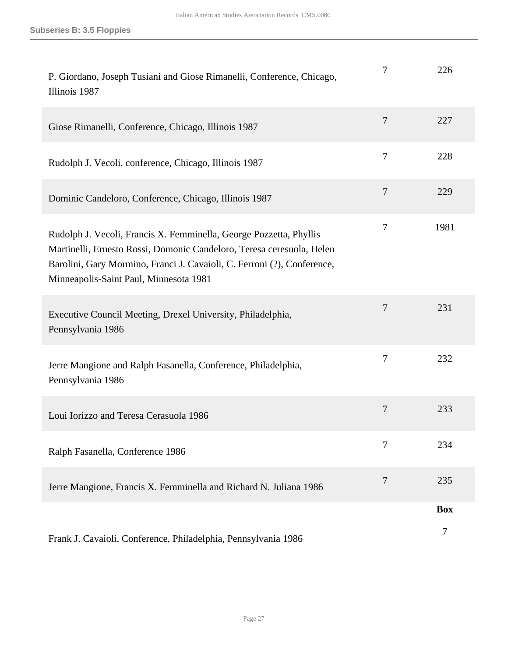| P. Giordano, Joseph Tusiani and Giose Rimanelli, Conference, Chicago,<br>Illinois 1987                                                                                                                                                                           | 7              | 226        |
|------------------------------------------------------------------------------------------------------------------------------------------------------------------------------------------------------------------------------------------------------------------|----------------|------------|
| Giose Rimanelli, Conference, Chicago, Illinois 1987                                                                                                                                                                                                              | 7              | 227        |
| Rudolph J. Vecoli, conference, Chicago, Illinois 1987                                                                                                                                                                                                            | 7              | 228        |
| Dominic Candeloro, Conference, Chicago, Illinois 1987                                                                                                                                                                                                            | $\tau$         | 229        |
| Rudolph J. Vecoli, Francis X. Femminella, George Pozzetta, Phyllis<br>Martinelli, Ernesto Rossi, Domonic Candeloro, Teresa ceresuola, Helen<br>Barolini, Gary Mormino, Franci J. Cavaioli, C. Ferroni (?), Conference,<br>Minneapolis-Saint Paul, Minnesota 1981 | 7              | 1981       |
| Executive Council Meeting, Drexel University, Philadelphia,<br>Pennsylvania 1986                                                                                                                                                                                 | 7              | 231        |
| Jerre Mangione and Ralph Fasanella, Conference, Philadelphia,<br>Pennsylvania 1986                                                                                                                                                                               | 7              | 232        |
| Loui Iorizzo and Teresa Cerasuola 1986                                                                                                                                                                                                                           | 7              | 233        |
| Ralph Fasanella, Conference 1986                                                                                                                                                                                                                                 | 7              | 234        |
| Jerre Mangione, Francis X. Femminella and Richard N. Juliana 1986                                                                                                                                                                                                | $\overline{7}$ | 235        |
|                                                                                                                                                                                                                                                                  |                | <b>Box</b> |
| Frank J. Cavaioli, Conference, Philadelphia, Pennsylvania 1986                                                                                                                                                                                                   |                | 7          |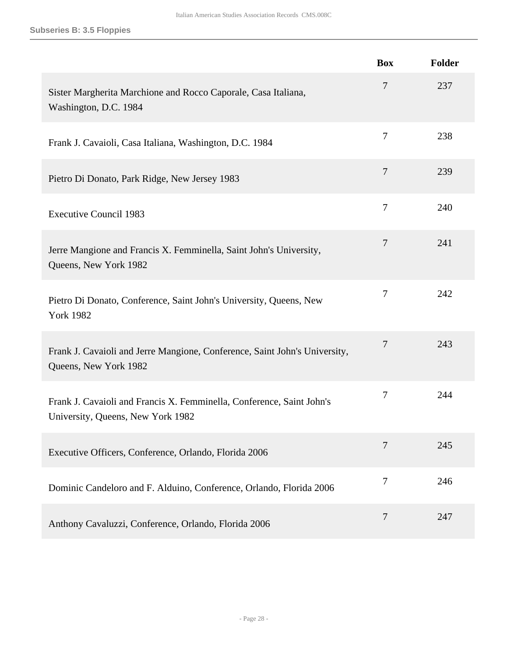|                                                                                                            | <b>Box</b>     | Folder |
|------------------------------------------------------------------------------------------------------------|----------------|--------|
| Sister Margherita Marchione and Rocco Caporale, Casa Italiana,<br>Washington, D.C. 1984                    | 7              | 237    |
| Frank J. Cavaioli, Casa Italiana, Washington, D.C. 1984                                                    | 7              | 238    |
| Pietro Di Donato, Park Ridge, New Jersey 1983                                                              | 7              | 239    |
| <b>Executive Council 1983</b>                                                                              | $\overline{7}$ | 240    |
| Jerre Mangione and Francis X. Femminella, Saint John's University,<br>Queens, New York 1982                | $\overline{7}$ | 241    |
| Pietro Di Donato, Conference, Saint John's University, Queens, New<br><b>York 1982</b>                     | 7              | 242    |
| Frank J. Cavaioli and Jerre Mangione, Conference, Saint John's University,<br>Queens, New York 1982        | 7              | 243    |
| Frank J. Cavaioli and Francis X. Femminella, Conference, Saint John's<br>University, Queens, New York 1982 | 7              | 244    |
| Executive Officers, Conference, Orlando, Florida 2006                                                      | 7              | 245    |
| Dominic Candeloro and F. Alduino, Conference, Orlando, Florida 2006                                        | 7              | 246    |
| Anthony Cavaluzzi, Conference, Orlando, Florida 2006                                                       | 7              | 247    |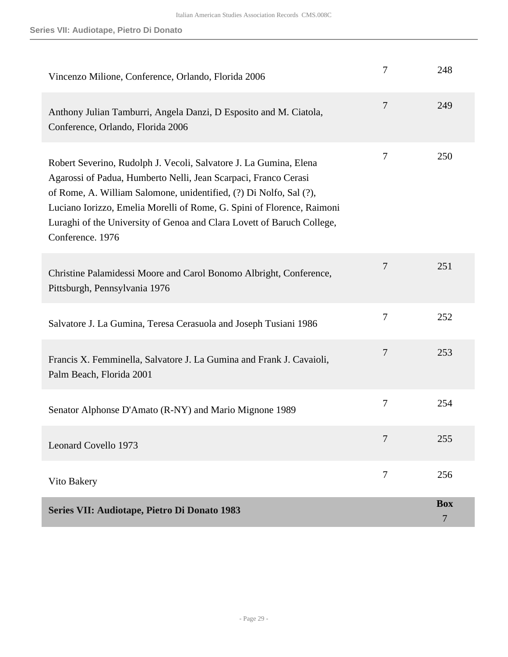<span id="page-28-0"></span>

| Vincenzo Milione, Conference, Orlando, Florida 2006                                                                                                                                                                                                                                                                                                                                | 7              | 248             |
|------------------------------------------------------------------------------------------------------------------------------------------------------------------------------------------------------------------------------------------------------------------------------------------------------------------------------------------------------------------------------------|----------------|-----------------|
| Anthony Julian Tamburri, Angela Danzi, D Esposito and M. Ciatola,<br>Conference, Orlando, Florida 2006                                                                                                                                                                                                                                                                             | $\overline{7}$ | 249             |
| Robert Severino, Rudolph J. Vecoli, Salvatore J. La Gumina, Elena<br>Agarossi of Padua, Humberto Nelli, Jean Scarpaci, Franco Cerasi<br>of Rome, A. William Salomone, unidentified, (?) Di Nolfo, Sal (?),<br>Luciano Iorizzo, Emelia Morelli of Rome, G. Spini of Florence, Raimoni<br>Luraghi of the University of Genoa and Clara Lovett of Baruch College,<br>Conference. 1976 | 7              | 250             |
| Christine Palamidessi Moore and Carol Bonomo Albright, Conference,<br>Pittsburgh, Pennsylvania 1976                                                                                                                                                                                                                                                                                | 7              | 251             |
| Salvatore J. La Gumina, Teresa Cerasuola and Joseph Tusiani 1986                                                                                                                                                                                                                                                                                                                   | 7              | 252             |
| Francis X. Femminella, Salvatore J. La Gumina and Frank J. Cavaioli,<br>Palm Beach, Florida 2001                                                                                                                                                                                                                                                                                   | 7              | 253             |
| Senator Alphonse D'Amato (R-NY) and Mario Mignone 1989                                                                                                                                                                                                                                                                                                                             | 7              | 254             |
| <b>Leonard Covello 1973</b>                                                                                                                                                                                                                                                                                                                                                        | 7              | 255             |
| Vito Bakery                                                                                                                                                                                                                                                                                                                                                                        | 7              | 256             |
| Series VII: Audiotape, Pietro Di Donato 1983                                                                                                                                                                                                                                                                                                                                       |                | <b>Box</b><br>7 |